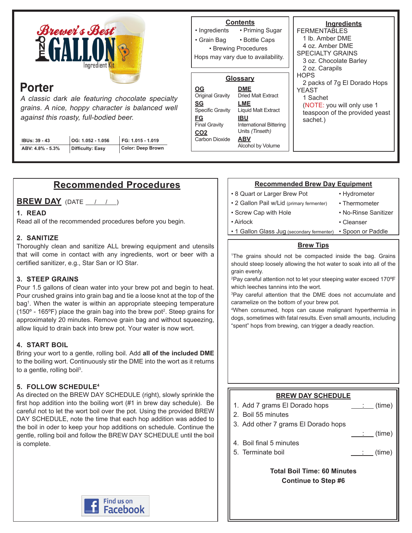

# **Porter**

A classic dark ale featuring chocolate specialty grains. A nice, hoppy character is balanced well against this roasty, full-bodied beer.

| IBUs: 39 - 43    | $ OG: 1.052 - 1.056$ | FG: 1.015 - 1.019 |
|------------------|----------------------|-------------------|
| ABV: 4.8% - 5.3% | Difficulty: Easy     | Color: Deep Brown |

#### **Ingredients FERMENTABLES** 2 oz. Carapils **HOPS Contents** • Priming Sugar • Bottle Caps • Ingredients • Grain Bag • Brewing Procedures **Glossary** Hops may vary due to availability.

**DME** Dried Malt Extract **LME** Liquid Malt Extract **IBU** International Bittering Units (Tinseth) **ABV** Alcohol by Volume **OG** Original Gravity **SG** Specific Gravity **FG** Final Gravity **CO2 Carbon Dioxide** 

1 lb. Amber DME 4 oz. Amber DME SPECIALTY GRAINS 3 oz. Chocolate Barley 2 packs of 7g El Dorado Hops YEAST 1 Sachet (NOTE: you will only use 1 teaspoon of the provided yeast sachet.)

## **Recommended Procedures**

**BREW DAY** (DATE / / )

### **1. READ**

Read all of the recommended procedures before you begin.

### **2. SANITIZE**

Thoroughly clean and sanitize ALL brewing equipment and utensils that will come in contact with any ingredients, wort or beer with a certified sanitizer, e.g., Star San or IO Star.

### **3. STEEP GRAINS**

Pour 1.5 gallons of clean water into your brew pot and begin to heat. Pour crushed grains into grain bag and tie a loose knot at the top of the bag1 . When the water is within an appropriate steeping temperature (150 $\textdegree$  - 165 $\textdegree$ F) place the grain bag into the brew pot<sup>2</sup>. Steep grains for approximately 20 minutes. Remove grain bag and without squeezing, allow liquid to drain back into brew pot. Your water is now wort.

### **4. START BOIL**

Bring your wort to a gentle, rolling boil. Add **all of the included DME** to the boiling wort. Continuously stir the DME into the wort as it returns to a gentle, rolling boil<sup>3</sup>.

### **5. FOLLOW SCHEDULE4**

As directed on the BREW DAY SCHEDULE (right), slowly sprinkle the first hop addition into the boiling wort (#1 in brew day schedule). Be careful not to let the wort boil over the pot. Using the provided BREW DAY SCHEDULE, note the time that each hop addition was added to the boil in oder to keep your hop additions on schedule. Continue the gentle, rolling boil and follow the BREW DAY SCHEDULE until the boil is complete.

### **Recommended Brew Day Equipment**

• 8 Quart or Larger Brew Pot

• Screw Cap with Hole

- Hydrometer
- 2 Gallon Pail w/Lid (primary fermenter)
- Thermometer
- No-Rinse Sanitizer

- Airlock
- Cleanser
- 1 Gallon Glass Jug (secondary fermenter) Spoon or Paddle

### **Brew Tips**

1 The grains should not be compacted inside the bag. Grains should steep loosely allowing the hot water to soak into all of the grain evenly.

2 Pay careful attention not to let your steeping water exceed 170ºF which leeches tannins into the wort.

3 Pay careful attention that the DME does not accumulate and caramelize on the bottom of your brew pot.

4 When consumed, hops can cause malignant hyperthermia in dogs, sometimes with fatal results. Even small amounts, including "spent" hops from brewing, can trigger a deadly reaction.

### **BREW DAY SCHEDULE**

- 1. Add 7 grams El Dorado hops  $\qquad \qquad \qquad$  (time)
- 2. Boil 55 minutes
- 3. Add other 7 grams El Dorado hops
- : (time) 4. Boil final 5 minutes
- 5. Terminate boil (time)
	-

**Total Boil Time: 60 Minutes Continue to Step #6**